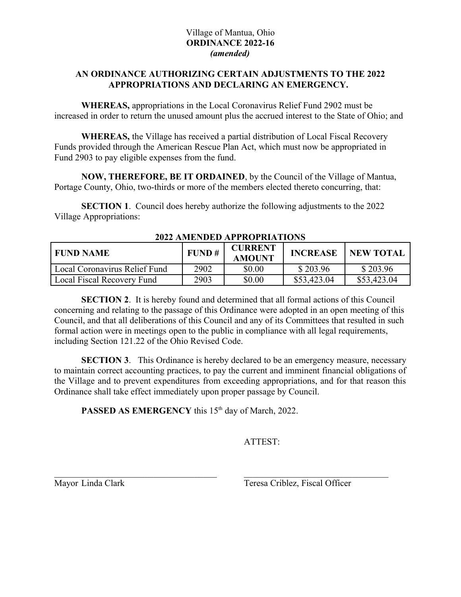## Village of Mantua, Ohio **ORDINANCE 2022-16** *(amended)*

## **AN ORDINANCE AUTHORIZING CERTAIN ADJUSTMENTS TO THE 2022 APPROPRIATIONS AND DECLARING AN EMERGENCY.**

**WHEREAS,** appropriations in the Local Coronavirus Relief Fund 2902 must be increased in order to return the unused amount plus the accrued interest to the State of Ohio; and

**WHEREAS,** the Village has received a partial distribution of Local Fiscal Recovery Funds provided through the American Rescue Plan Act, which must now be appropriated in Fund 2903 to pay eligible expenses from the fund.

**NOW, THEREFORE, BE IT ORDAINED**, by the Council of the Village of Mantua, Portage County, Ohio, two-thirds or more of the members elected thereto concurring, that:

**SECTION 1.** Council does hereby authorize the following adjustments to the 2022 Village Appropriations:

| I FUND NAME                   | FUND# | <b>CURRENT</b><br><b>AMOUNT</b> | <b>INCREASE</b> | <b>NEW TOTAL</b> |
|-------------------------------|-------|---------------------------------|-----------------|------------------|
| Local Coronavirus Relief Fund | 2902  | \$0.00                          | \$203.96        | \$203.96         |
| Local Fiscal Recovery Fund    | 2903  | \$0.00                          | \$53,423.04     | \$53,423.04      |

**2022 AMENDED APPROPRIATIONS**

**SECTION 2.** It is hereby found and determined that all formal actions of this Council concerning and relating to the passage of this Ordinance were adopted in an open meeting of this Council, and that all deliberations of this Council and any of its Committees that resulted in such formal action were in meetings open to the public in compliance with all legal requirements, including Section 121.22 of the Ohio Revised Code.

**SECTION 3.** This Ordinance is hereby declared to be an emergency measure, necessary to maintain correct accounting practices, to pay the current and imminent financial obligations of the Village and to prevent expenditures from exceeding appropriations, and for that reason this Ordinance shall take effect immediately upon proper passage by Council.

PASSED AS EMERGENCY this 15<sup>th</sup> day of March, 2022.

ATTEST:

Mayor Linda Clark Teresa Criblez, Fiscal Officer